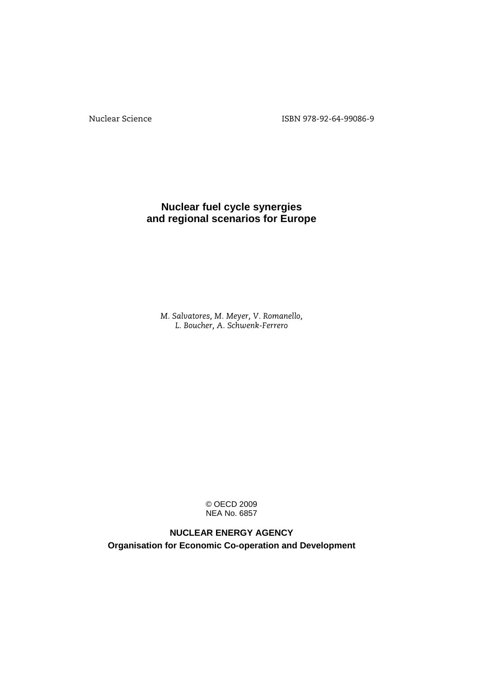Nuclear Science ISBN 978-92-64-99086-9

# **Nuclear fuel cycle synergies and regional scenarios for Europe**

*M. Salvatores, M. Meyer, V. Romanello, L. Boucher, A. Schwenk-Ferrero* 

> © OECD 2009 NEA No. 6857

**NUCLEAR ENERGY AGENCY Organisation for Economic Co-operation and Development**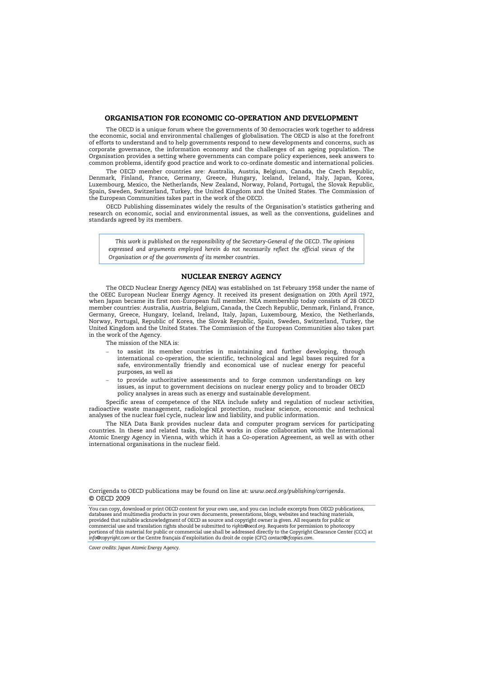#### **ORGANISATION FOR ECONOMIC CO-OPERATION AND DEVELOPMENT**

The OECD is a unique forum where the governments of 30 democracies work together to address the economic, social and environmental challenges of globalisation. The OECD is also at the forefront of efforts to understand and to help governments respond to new developments and concerns, such as corporate governance, the information economy and the challenges of an ageing population. The Organisation provides a setting where governments can compare policy experiences, seek answers to common problems, identify good practice and work to co-ordinate domestic and international policies.

The OECD member countries are: Australia, Austria, Belgium, Canada, the Czech Republic, Denmark, Finland, France, Germany, Greece, Hungary, Iceland, Ireland, Italy, Japan, Korea, Luxembourg, Mexico, the Netherlands, New Zealand, Norway, Poland, Portugal, the Slovak Republic, Spain, Sweden, Switzerland, Turkey, the United Kingdom and the United States. The Commission of the European Communities takes part in the work of the OECD.

OECD Publishing disseminates widely the results of the Organisation's statistics gathering and research on economic, social and environmental issues, as well as the conventions, guidelines and standards agreed by its members.

*This work is published on the responsibility of the Secretary-General of the OECD. The opinions expressed and arguments employed herein do not necessarily reflect the official views of the Organisation or of the governments of its member countries.* 

#### **NUCLEAR ENERGY AGENCY**

The OECD Nuclear Energy Agency (NEA) was established on 1st February 1958 under the name of the OEEC European Nuclear Energy Agency. It received its present designation on 20th April 1972, when Japan became its first non-European full member. NEA membership today consists of 28 OECD member countries: Australia, Austria, Belgium, Canada, the Czech Republic, Denmark, Finland, France, Germany, Greece, Hungary, Iceland, Ireland, Italy, Japan, Luxembourg, Mexico, the Netherlands, Norway, Portugal, Republic of Korea, the Slovak Republic, Spain, Sweden, Switzerland, Turkey, the United Kingdom and the United States. The Commission of the European Communities also takes part in the work of the Agency.

The mission of the NEA is:

- to assist its member countries in maintaining and further developing, through international co-operation, the scientific, technological and legal bases required for a safe, environmentally friendly and economical use of nuclear energy for peaceful purposes, as well as
- to provide authoritative assessments and to forge common understandings on key issues, as input to government decisions on nuclear energy policy and to broader OECD policy analyses in areas such as energy and sustainable development.

Specific areas of competence of the NEA include safety and regulation of nuclear activities, radioactive waste management, radiological protection, nuclear science, economic and technical analyses of the nuclear fuel cycle, nuclear law and liability, and public information.

The NEA Data Bank provides nuclear data and computer program services for participating countries. In these and related tasks, the NEA works in close collaboration with the International Atomic Energy Agency in Vienna, with which it has a Co-operation Agreement, as well as with other international organisations in the nuclear field.

#### Corrigenda to OECD publications may be found on line at: *www.oecd.org/publishing/corrigenda*. © OECD 2009

You can copy, download or print OECD content for your own use, and you can include excerpts from OECD publications,<br>databases and multimedia products in your own documents, presentations, blogs, websites and teaching mater provided that suitable acknowledgment of OECD as source and copyright owner is given. All requests for public or<br>commercial use and translation rights should be submitted to rights@oecd.org. Requests for permission to phot portions of this material for public or commercial use shall be addressed directly to the Copyright Clearance Center (CCC) at *info@copyright.com* or the Centre français d'exploitation du droit de copie (CFC) *contact@cfcopies.com*.

*Cover credits: Japan Atomic Energy Agency.*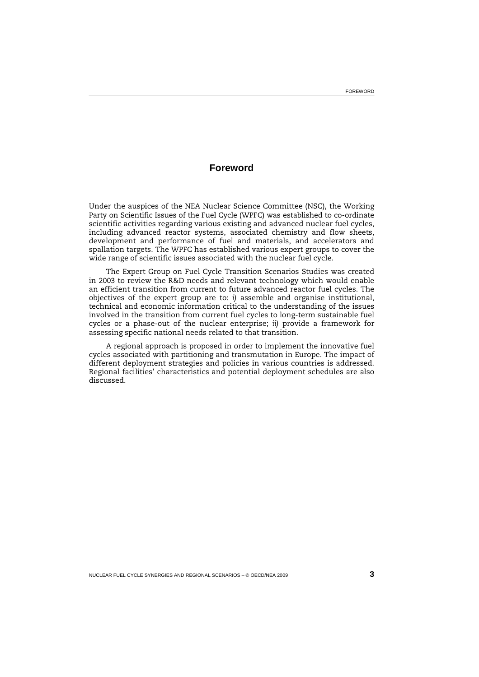# **Foreword**

Under the auspices of the NEA Nuclear Science Committee (NSC), the Working Party on Scientific Issues of the Fuel Cycle (WPFC) was established to co-ordinate scientific activities regarding various existing and advanced nuclear fuel cycles, including advanced reactor systems, associated chemistry and flow sheets, development and performance of fuel and materials, and accelerators and spallation targets. The WPFC has established various expert groups to cover the wide range of scientific issues associated with the nuclear fuel cycle.

The Expert Group on Fuel Cycle Transition Scenarios Studies was created in 2003 to review the R&D needs and relevant technology which would enable an efficient transition from current to future advanced reactor fuel cycles. The objectives of the expert group are to: *i)* assemble and organise institutional, technical and economic information critical to the understanding of the issues involved in the transition from current fuel cycles to long-term sustainable fuel cycles or a phase-out of the nuclear enterprise; *ii)* provide a framework for assessing specific national needs related to that transition.

A regional approach is proposed in order to implement the innovative fuel cycles associated with partitioning and transmutation in Europe. The impact of different deployment strategies and policies in various countries is addressed. Regional facilities' characteristics and potential deployment schedules are also discussed.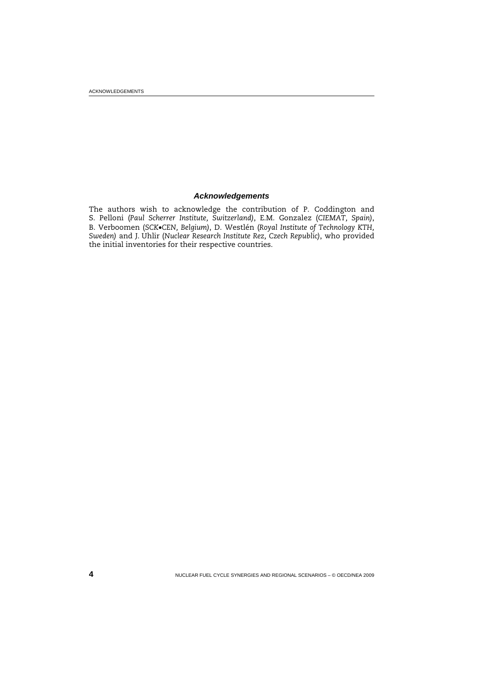# *Acknowledgements*

The authors wish to acknowledge the contribution of P. Coddington and S. Pelloni (*Paul Scherrer Institute, Switzerland)*, E.M. Gonzalez (*CIEMAT, Spain)*, B. Verboomen (*SCK*•*CEN, Belgium)*, D. Westlén (*Royal Institute of Technology KTH, Sweden)* and J. Uhlir (*Nuclear Research Institute Rez, Czech Republic)*, who provided the initial inventories for their respective countries.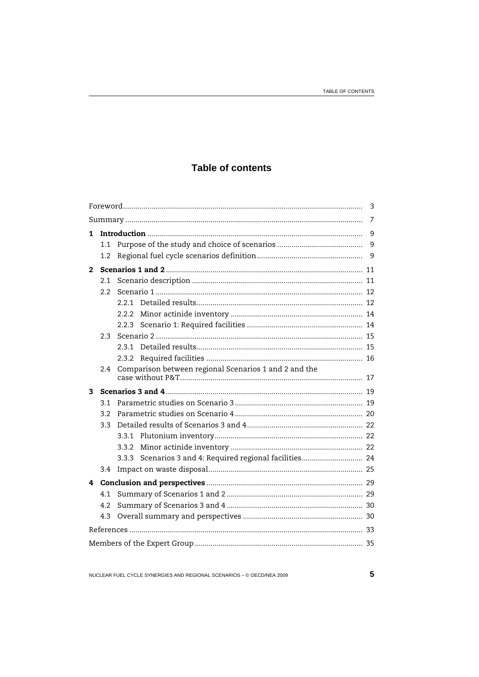# **Table of contents**

|                |                  |       |                                                          | 3 |  |
|----------------|------------------|-------|----------------------------------------------------------|---|--|
|                | $\overline{7}$   |       |                                                          |   |  |
| $\mathbf 1$    |                  |       |                                                          | 9 |  |
|                | 1.1              |       |                                                          | 9 |  |
|                | 1.2              |       |                                                          |   |  |
|                |                  |       |                                                          |   |  |
|                | 2.1              |       |                                                          |   |  |
|                | $2.2^{\circ}$    |       |                                                          |   |  |
|                |                  |       |                                                          |   |  |
|                |                  | 2.2.2 |                                                          |   |  |
|                |                  |       |                                                          |   |  |
|                | 2.3              |       |                                                          |   |  |
|                |                  | 231   |                                                          |   |  |
|                |                  |       |                                                          |   |  |
|                | 2.4              |       | Comparison between regional Scenarios 1 and 2 and the    |   |  |
|                |                  |       |                                                          |   |  |
| $\overline{3}$ |                  |       |                                                          |   |  |
|                | 31               |       |                                                          |   |  |
|                | 3.2 <sub>2</sub> |       |                                                          |   |  |
|                | 3.3              |       |                                                          |   |  |
|                |                  |       |                                                          |   |  |
|                |                  | 3.3.2 |                                                          |   |  |
|                |                  |       | 3.3.3 Scenarios 3 and 4: Required regional facilities 24 |   |  |
|                | 3.4              |       |                                                          |   |  |
|                |                  |       |                                                          |   |  |
|                | 4.1              |       |                                                          |   |  |
|                | 4.2              |       |                                                          |   |  |
|                | 4.3              |       |                                                          |   |  |
|                |                  |       |                                                          |   |  |
|                |                  |       |                                                          |   |  |

NUCLEAR FUEL CYCLE SYNERGIES AND REGIONAL SCENARIOS - © OECD/NEA 2009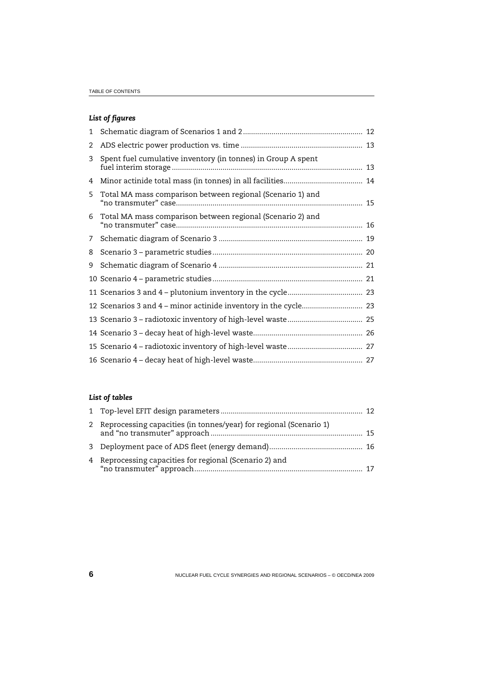# *List of figures*

| $\mathbf{1}$ |                                                                 |  |
|--------------|-----------------------------------------------------------------|--|
| 2            |                                                                 |  |
| 3            | Spent fuel cumulative inventory (in tonnes) in Group A spent    |  |
| 4            |                                                                 |  |
| 5.           | Total MA mass comparison between regional (Scenario 1) and      |  |
|              | 6 Total MA mass comparison between regional (Scenario 2) and    |  |
| 7            |                                                                 |  |
| 8            |                                                                 |  |
| 9            |                                                                 |  |
|              |                                                                 |  |
|              |                                                                 |  |
|              | 12 Scenarios 3 and 4 - minor actinide inventory in the cycle 23 |  |
|              |                                                                 |  |
|              |                                                                 |  |
|              |                                                                 |  |
|              |                                                                 |  |

# *List of tables*

| 2 Reprocessing capacities (in tonnes/year) for regional (Scenario 1) |  |
|----------------------------------------------------------------------|--|
|                                                                      |  |
| 4 Reprocessing capacities for regional (Scenario 2) and              |  |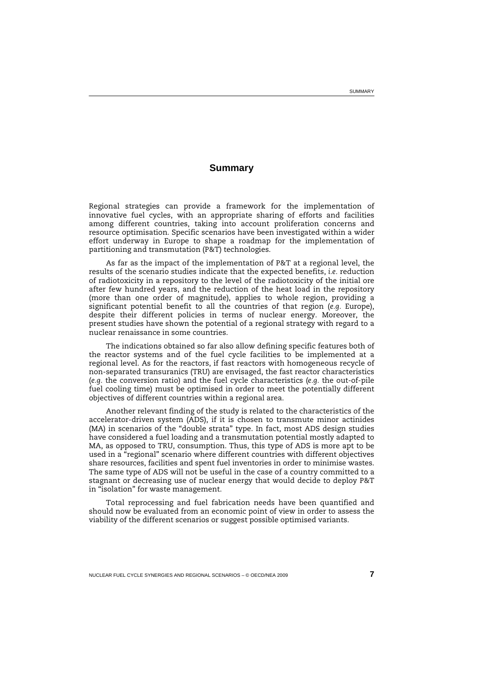# **Summary**

Regional strategies can provide a framework for the implementation of innovative fuel cycles, with an appropriate sharing of efforts and facilities among different countries, taking into account proliferation concerns and resource optimisation. Specific scenarios have been investigated within a wider effort underway in Europe to shape a roadmap for the implementation of partitioning and transmutation (P&T) technologies.

As far as the impact of the implementation of P&T at a regional level, the results of the scenario studies indicate that the expected benefits, *i.e.* reduction of radiotoxicity in a repository to the level of the radiotoxicity of the initial ore after few hundred years, and the reduction of the heat load in the repository (more than one order of magnitude), applies to whole region, providing a significant potential benefit to all the countries of that region (*e.g.* Europe), despite their different policies in terms of nuclear energy. Moreover, the present studies have shown the potential of a regional strategy with regard to a nuclear renaissance in some countries.

The indications obtained so far also allow defining specific features both of the reactor systems and of the fuel cycle facilities to be implemented at a regional level. As for the reactors, if fast reactors with homogeneous recycle of non-separated transuranics (TRU) are envisaged, the fast reactor characteristics (*e.g.* the conversion ratio) and the fuel cycle characteristics (*e.g.* the out-of-pile fuel cooling time) must be optimised in order to meet the potentially different objectives of different countries within a regional area.

Another relevant finding of the study is related to the characteristics of the accelerator-driven system (ADS), if it is chosen to transmute minor actinides (MA) in scenarios of the "double strata" type. In fact, most ADS design studies have considered a fuel loading and a transmutation potential mostly adapted to MA, as opposed to TRU, consumption. Thus, this type of ADS is more apt to be used in a "regional" scenario where different countries with different objectives share resources, facilities and spent fuel inventories in order to minimise wastes. The same type of ADS will not be useful in the case of a country committed to a stagnant or decreasing use of nuclear energy that would decide to deploy P&T in "isolation" for waste management.

Total reprocessing and fuel fabrication needs have been quantified and should now be evaluated from an economic point of view in order to assess the viability of the different scenarios or suggest possible optimised variants.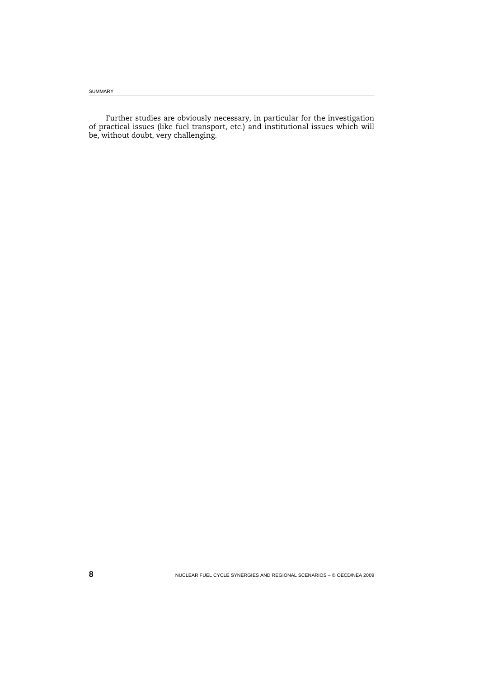Further studies are obviously necessary, in particular for the investigation of practical issues (like fuel transport, etc.) and institutional issues which will be, without doubt, very challenging.

**8** NUCLEAR FUEL CYCLE SYNERGIES AND REGIONAL SCENARIOS – © OECD/NEA 2009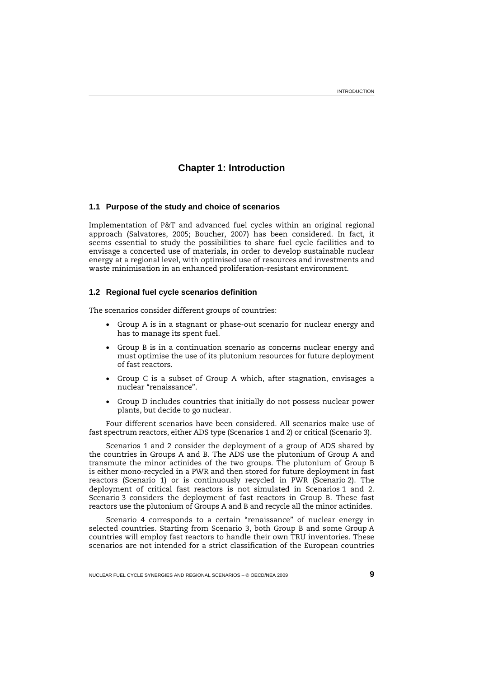# **Chapter 1: Introduction**

### **1.1 Purpose of the study and choice of scenarios**

Implementation of P&T and advanced fuel cycles within an original regional approach (Salvatores, 2005; Boucher, 2007) has been considered. In fact, it seems essential to study the possibilities to share fuel cycle facilities and to envisage a concerted use of materials, in order to develop sustainable nuclear energy at a regional level, with optimised use of resources and investments and waste minimisation in an enhanced proliferation-resistant environment.

### **1.2 Regional fuel cycle scenarios definition**

The scenarios consider different groups of countries:

- Group A is in a stagnant or phase-out scenario for nuclear energy and has to manage its spent fuel.
- Group B is in a continuation scenario as concerns nuclear energy and must optimise the use of its plutonium resources for future deployment of fast reactors.
- Group C is a subset of Group A which, after stagnation, envisages a nuclear "renaissance".
- Group D includes countries that initially do not possess nuclear power plants, but decide to go nuclear.

Four different scenarios have been considered. All scenarios make use of fast spectrum reactors, either ADS type (Scenarios 1 and 2) or critical (Scenario 3).

Scenarios 1 and 2 consider the deployment of a group of ADS shared by the countries in Groups A and B. The ADS use the plutonium of Group A and transmute the minor actinides of the two groups. The plutonium of Group B is either mono-recycled in a PWR and then stored for future deployment in fast reactors (Scenario 1) or is continuously recycled in PWR (Scenario 2). The deployment of critical fast reactors is not simulated in Scenarios 1 and 2. Scenario 3 considers the deployment of fast reactors in Group B. These fast reactors use the plutonium of Groups A and B and recycle all the minor actinides.

Scenario 4 corresponds to a certain "renaissance" of nuclear energy in selected countries. Starting from Scenario 3, both Group B and some Group A countries will employ fast reactors to handle their own TRU inventories. These scenarios are not intended for a strict classification of the European countries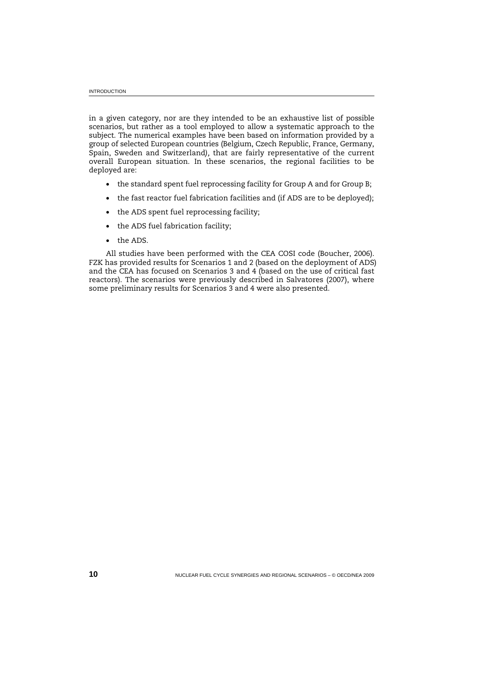in a given category, nor are they intended to be an exhaustive list of possible scenarios, but rather as a tool employed to allow a systematic approach to the subject. The numerical examples have been based on information provided by a group of selected European countries (Belgium, Czech Republic, France, Germany, Spain, Sweden and Switzerland*),* that are fairly representative of the current overall European situation. In these scenarios, the regional facilities to be deployed are:

- the standard spent fuel reprocessing facility for Group A and for Group B;
- the fast reactor fuel fabrication facilities and (if ADS are to be deployed);
- the ADS spent fuel reprocessing facility;
- the ADS fuel fabrication facility;
- the ADS.

All studies have been performed with the CEA COSI code (Boucher, 2006). FZK has provided results for Scenarios 1 and 2 (based on the deployment of ADS) and the CEA has focused on Scenarios 3 and 4 (based on the use of critical fast reactors). The scenarios were previously described in Salvatores (2007), where some preliminary results for Scenarios 3 and 4 were also presented.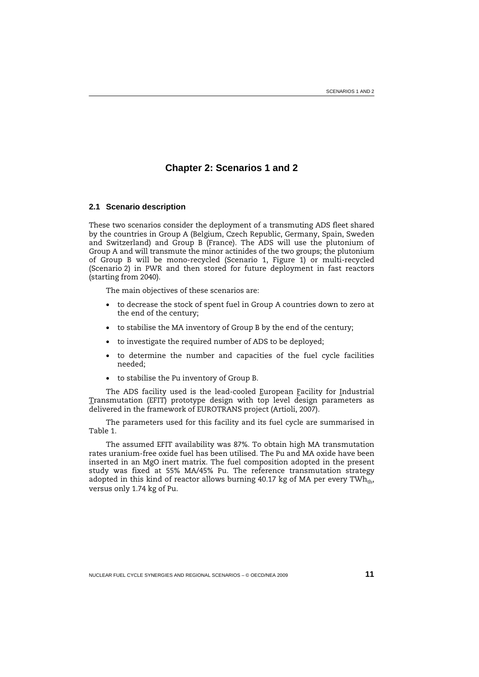# **Chapter 2: Scenarios 1 and 2**

### **2.1 Scenario description**

These two scenarios consider the deployment of a transmuting ADS fleet shared by the countries in Group A (Belgium, Czech Republic, Germany, Spain, Sweden and Switzerland) and Group B (France). The ADS will use the plutonium of Group A and will transmute the minor actinides of the two groups; the plutonium of Group B will be mono-recycled (Scenario 1, Figure 1) or multi-recycled (Scenario 2) in PWR and then stored for future deployment in fast reactors (starting from 2040).

The main objectives of these scenarios are:

- to decrease the stock of spent fuel in Group A countries down to zero at the end of the century;
- to stabilise the MA inventory of Group B by the end of the century;
- to investigate the required number of ADS to be deployed;
- to determine the number and capacities of the fuel cycle facilities needed;
- to stabilise the Pu inventory of Group B.

The ADS facility used is the lead-cooled European Facility for Industrial Transmutation (EFIT) prototype design with top level design parameters as delivered in the framework of EUROTRANS project (Artioli, 2007).

The parameters used for this facility and its fuel cycle are summarised in Table 1.

The assumed EFIT availability was 87%. To obtain high MA transmutation rates uranium-free oxide fuel has been utilised. The Pu and MA oxide have been inserted in an MgO inert matrix. The fuel composition adopted in the present study was fixed at 55% MA/45% Pu. The reference transmutation strategy adopted in this kind of reactor allows burning 40.17 kg of MA per every TWh<sub>th</sub>, versus only 1.74 kg of Pu.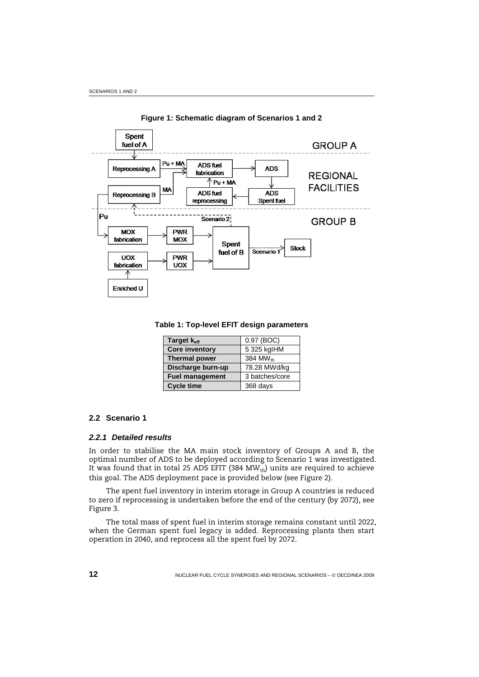

**Table 1: Top-level EFIT design parameters** 

| Target k <sub>eff</sub> | 0.97 (BOC)     |  |
|-------------------------|----------------|--|
| <b>Core inventory</b>   | 5 325 kglHM    |  |
| <b>Thermal power</b>    | 384 MWth       |  |
| Discharge burn-up       | 78.28 MWd/kg   |  |
| <b>Fuel management</b>  | 3 batches/core |  |
| <b>Cycle time</b>       | 368 days       |  |

### **2.2 Scenario 1**

#### *2.2.1 Detailed results*

In order to stabilise the MA main stock inventory of Groups A and B, the optimal number of ADS to be deployed according to Scenario 1 was investigated. It was found that in total 25 ADS EFIT (384  $MW_{th}$ ) units are required to achieve this goal. The ADS deployment pace is provided below (see Figure 2).

The spent fuel inventory in interim storage in Group A countries is reduced to zero if reprocessing is undertaken before the end of the century (by 2072), see Figure 3.

The total mass of spent fuel in interim storage remains constant until 2022, when the German spent fuel legacy is added. Reprocessing plants then start operation in 2040, and reprocess all the spent fuel by 2072.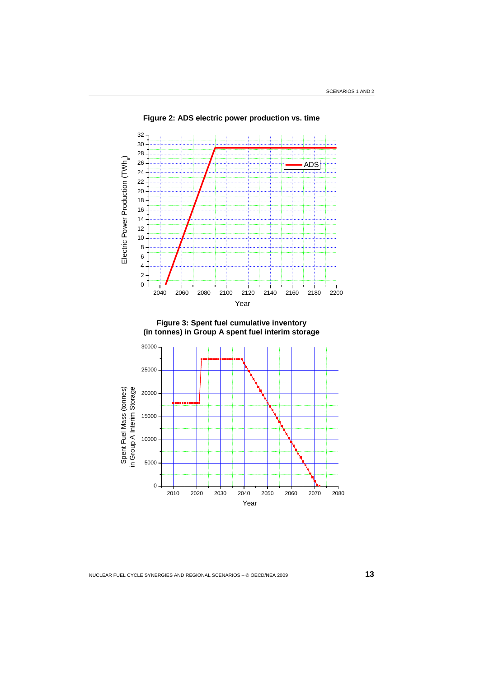

**Figure 2: ADS electric power production vs. time** 

**Figure 3: Spent fuel cumulative inventory (in tonnes) in Group A spent fuel interim storage** 



NUCLEAR FUEL CYCLE SYNERGIES AND REGIONAL SCENARIOS – © OECD/NEA 2009 **13**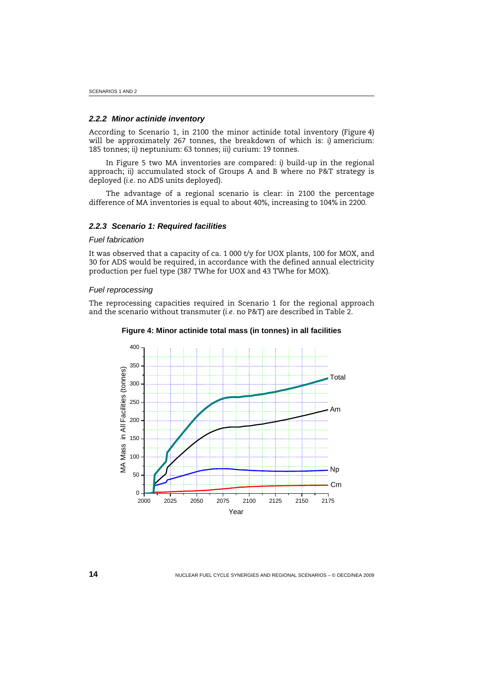### *2.2.2 Minor actinide inventory*

According to Scenario 1, in 2100 the minor actinide total inventory (Figure 4) will be approximately 267 tonnes, the breakdown of which is: *i)* americium: 185 tonnes; *ii)* neptunium: 63 tonnes; *iii)* curium: 19 tonnes.

In Figure 5 two MA inventories are compared: *i)* build-up in the regional approach; *ii)* accumulated stock of Groups A and B where no P&T strategy is deployed (*i.e*. no ADS units deployed).

The advantage of a regional scenario is clear: in 2100 the percentage difference of MA inventories is equal to about 40%, increasing to 104% in 2200.

### *2.2.3 Scenario 1: Required facilities*

#### *Fuel fabrication*

It was observed that a capacity of ca. 1 000 t/y for UOX plants, 100 for MOX, and 30 for ADS would be required, in accordance with the defined annual electricity production per fuel type (387 TWhe for UOX and 43 TWhe for MOX).

#### *Fuel reprocessing*

The reprocessing capacities required in Scenario 1 for the regional approach and the scenario without transmuter (*i.e.* no P&T) are described in Table 2.



**Figure 4: Minor actinide total mass (in tonnes) in all facilities** 

**14** NUCLEAR FUEL CYCLE SYNERGIES AND REGIONAL SCENARIOS – © OECD/NEA 2009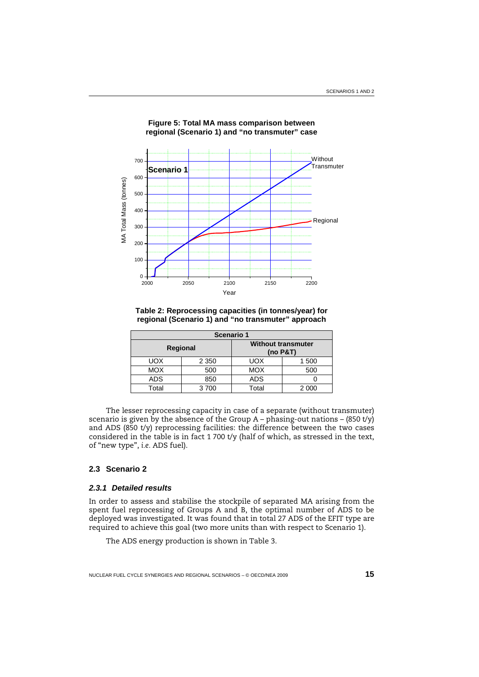



**Table 2: Reprocessing capacities (in tonnes/year) for regional (Scenario 1) and "no transmuter" approach** 

| Scenario 1 |          |                                       |         |  |
|------------|----------|---------------------------------------|---------|--|
|            | Regional | <b>Without transmuter</b><br>(no P&T) |         |  |
| UOX        | 2 3 5 0  | <b>UOX</b>                            | 1 500   |  |
| <b>MOX</b> | 500      | <b>MOX</b>                            | 500     |  |
| <b>ADS</b> | 850      | ADS                                   |         |  |
| Total      | 3700     | Total                                 | 2 0 0 0 |  |

The lesser reprocessing capacity in case of a separate (without transmuter) scenario is given by the absence of the Group  $A$  – phasing-out nations – (850 t/y) and ADS (850 t/y) reprocessing facilities: the difference between the two cases considered in the table is in fact 1 700 t/y (half of which, as stressed in the text, of "new type", *i.e.* ADS fuel).

### **2.3 Scenario 2**

### *2.3.1 Detailed results*

In order to assess and stabilise the stockpile of separated MA arising from the spent fuel reprocessing of Groups A and B, the optimal number of ADS to be deployed was investigated. It was found that in total 27 ADS of the EFIT type are required to achieve this goal (two more units than with respect to Scenario 1).

The ADS energy production is shown in Table 3.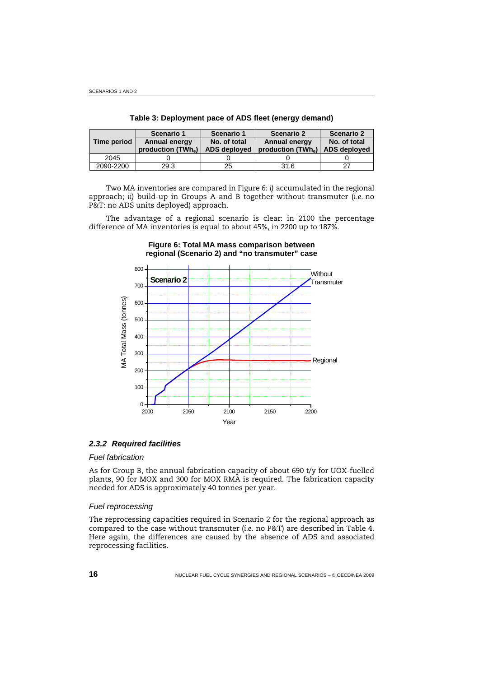|             | Scenario 1                         | Scenario 1                          | <b>Scenario 2</b>                            | Scenario 2                   |
|-------------|------------------------------------|-------------------------------------|----------------------------------------------|------------------------------|
| Time period | Annual energy<br>production (TWh.) | No. of total<br><b>ADS deployed</b> | <b>Annual energy</b><br>production $(TWh_e)$ | No. of total<br>ADS deployed |
| 2045        |                                    |                                     |                                              |                              |
| 2090-2200   | 29.3                               | 25                                  | 31.6                                         |                              |

**Table 3: Deployment pace of ADS fleet (energy demand)** 

Two MA inventories are compared in Figure 6: *i)* accumulated in the regional approach; *ii)* build-up in Groups A and B together without transmuter (*i.e.* no P&T: no ADS units deployed) approach.

The advantage of a regional scenario is clear: in 2100 the percentage difference of MA inventories is equal to about 45%, in 2200 up to 187%.



**Figure 6: Total MA mass comparison between regional (Scenario 2) and "no transmuter" case** 

# *2.3.2 Required facilities*

### *Fuel fabrication*

As for Group B, the annual fabrication capacity of about 690 t/y for UOX-fuelled plants, 90 for MOX and 300 for MOX RMA is required. The fabrication capacity needed for ADS is approximately 40 tonnes per year.

### *Fuel reprocessing*

The reprocessing capacities required in Scenario 2 for the regional approach as compared to the case without transmuter (*i.e.* no P&T) are described in Table 4. Here again, the differences are caused by the absence of ADS and associated reprocessing facilities.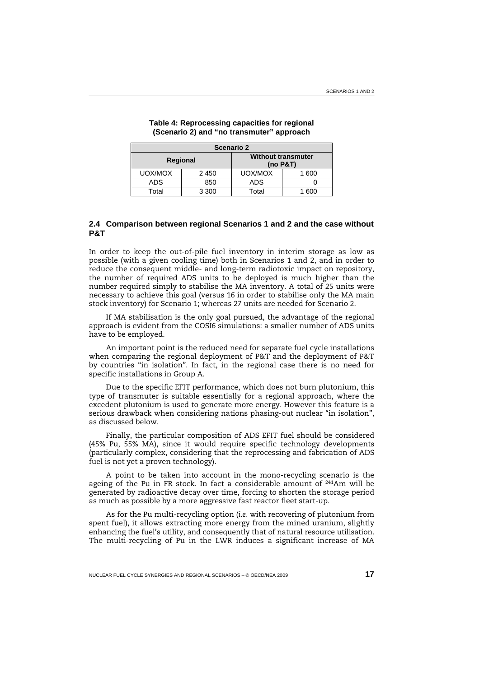| <b>Scenario 2</b> |                 |                                       |      |  |
|-------------------|-----------------|---------------------------------------|------|--|
|                   | <b>Regional</b> | <b>Without transmuter</b><br>(no P&T) |      |  |
| UOX/MOX           | 2450            | UOX/MOX                               | -600 |  |
| <b>ADS</b>        | 850             | ADS.                                  |      |  |
| Total             | 3 3 0 0         | Total                                 | ഹെ   |  |

#### **Table 4: Reprocessing capacities for regional (Scenario 2) and "no transmuter" approach**

### **2.4 Comparison between regional Scenarios 1 and 2 and the case without P&T**

In order to keep the out-of-pile fuel inventory in interim storage as low as possible (with a given cooling time) both in Scenarios 1 and 2, and in order to reduce the consequent middle- and long-term radiotoxic impact on repository, the number of required ADS units to be deployed is much higher than the number required simply to stabilise the MA inventory. A total of 25 units were necessary to achieve this goal (versus 16 in order to stabilise only the MA main stock inventory) for Scenario 1; whereas 27 units are needed for Scenario 2.

If MA stabilisation is the only goal pursued, the advantage of the regional approach is evident from the COSI6 simulations: a smaller number of ADS units have to be employed.

An important point is the reduced need for separate fuel cycle installations when comparing the regional deployment of P&T and the deployment of P&T by countries "in isolation". In fact, in the regional case there is no need for specific installations in Group A.

Due to the specific EFIT performance, which does not burn plutonium, this type of transmuter is suitable essentially for a regional approach, where the excedent plutonium is used to generate more energy. However this feature is a serious drawback when considering nations phasing-out nuclear "in isolation", as discussed below.

Finally, the particular composition of ADS EFIT fuel should be considered (45% Pu, 55% MA), since it would require specific technology developments (particularly complex, considering that the reprocessing and fabrication of ADS fuel is not yet a proven technology).

A point to be taken into account in the mono-recycling scenario is the ageing of the Pu in FR stock. In fact a considerable amount of <sup>241</sup>Am will be generated by radioactive decay over time, forcing to shorten the storage period as much as possible by a more aggressive fast reactor fleet start-up.

As for the Pu multi-recycling option (*i.e.* with recovering of plutonium from spent fuel), it allows extracting more energy from the mined uranium, slightly enhancing the fuel's utility, and consequently that of natural resource utilisation. The multi-recycling of Pu in the LWR induces a significant increase of MA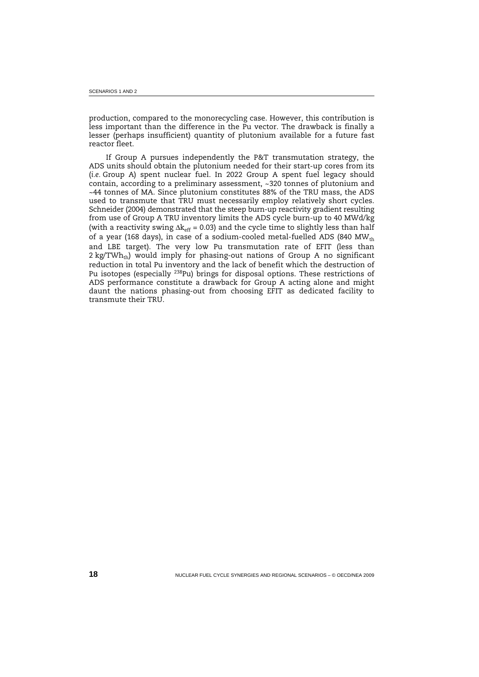production, compared to the monorecycling case. However, this contribution is less important than the difference in the Pu vector. The drawback is finally a lesser (perhaps insufficient) quantity of plutonium available for a future fast reactor fleet.

If Group A pursues independently the P&T transmutation strategy, the ADS units should obtain the plutonium needed for their start-up cores from its (*i.e.* Group A) spent nuclear fuel. In 2022 Group A spent fuel legacy should contain, according to a preliminary assessment, ~320 tonnes of plutonium and ~44 tonnes of MA. Since plutonium constitutes 88% of the TRU mass, the ADS used to transmute that TRU must necessarily employ relatively short cycles. Schneider (2004) demonstrated that the steep burn-up reactivity gradient resulting from use of Group A TRU inventory limits the ADS cycle burn-up to 40 MWd/kg (with a reactivity swing  $\Delta k_{eff}$  = 0.03) and the cycle time to slightly less than half of a year (168 days), in case of a sodium-cooled metal-fuelled ADS (840  $MW_{th}$ ) and LBE target). The very low Pu transmutation rate of EFIT (less than  $2 \text{ kg/TWh}_{\text{th}}$ ) would imply for phasing-out nations of Group A no significant reduction in total Pu inventory and the lack of benefit which the destruction of Pu isotopes (especially <sup>238</sup>Pu) brings for disposal options. These restrictions of ADS performance constitute a drawback for Group A acting alone and might daunt the nations phasing-out from choosing EFIT as dedicated facility to transmute their TRU.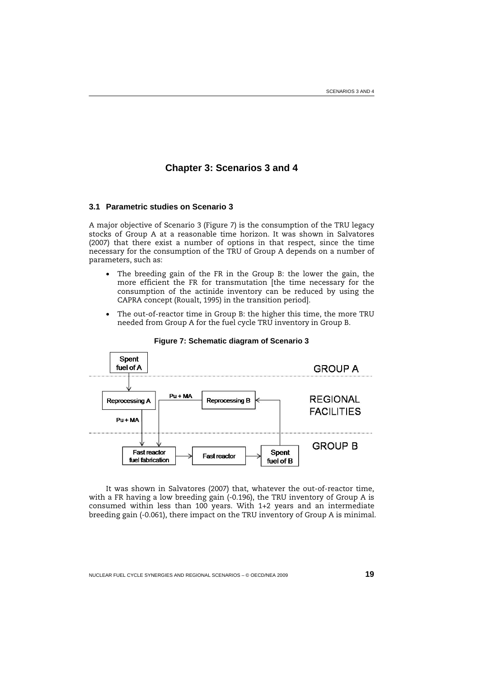# **Chapter 3: Scenarios 3 and 4**

### **3.1 Parametric studies on Scenario 3**

A major objective of Scenario 3 (Figure 7) is the consumption of the TRU legacy stocks of Group A at a reasonable time horizon. It was shown in Salvatores (2007) that there exist a number of options in that respect, since the time necessary for the consumption of the TRU of Group A depends on a number of parameters, such as:

- The breeding gain of the FR in the Group B: the lower the gain, the more efficient the FR for transmutation [the time necessary for the consumption of the actinide inventory can be reduced by using the CAPRA concept (Roualt, 1995) in the transition period].
- The out-of-reactor time in Group B: the higher this time, the more TRU needed from Group A for the fuel cycle TRU inventory in Group B.



## **Figure 7: Schematic diagram of Scenario 3**

It was shown in Salvatores (2007) that, whatever the out-of-reactor time, with a FR having a low breeding gain (-0.196), the TRU inventory of Group A is consumed within less than 100 years. With 1+2 years and an intermediate breeding gain (-0.061), there impact on the TRU inventory of Group A is minimal.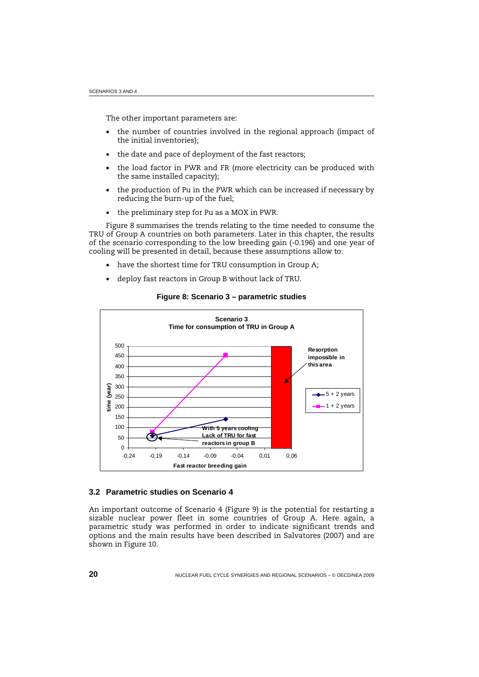The other important parameters are:

- the number of countries involved in the regional approach (impact of the initial inventories);
- the date and pace of deployment of the fast reactors;
- the load factor in PWR and FR (more electricity can be produced with the same installed capacity);
- the production of Pu in the PWR which can be increased if necessary by reducing the burn-up of the fuel;
- the preliminary step for Pu as a MOX in PWR.

Figure 8 summarises the trends relating to the time needed to consume the TRU of Group A countries on both parameters. Later in this chapter, the results of the scenario corresponding to the low breeding gain (-0.196) and one year of cooling will be presented in detail, because these assumptions allow to:

- have the shortest time for TRU consumption in Group A;
- deploy fast reactors in Group B without lack of TRU.

![](_page_19_Figure_10.jpeg)

**Figure 8: Scenario 3 – parametric studies** 

#### **3.2 Parametric studies on Scenario 4**

An important outcome of Scenario 4 (Figure 9) is the potential for restarting a sizable nuclear power fleet in some countries of Group A. Here again, a parametric study was performed in order to indicate significant trends and options and the main results have been described in Salvatores (2007) and are shown in Figure 10.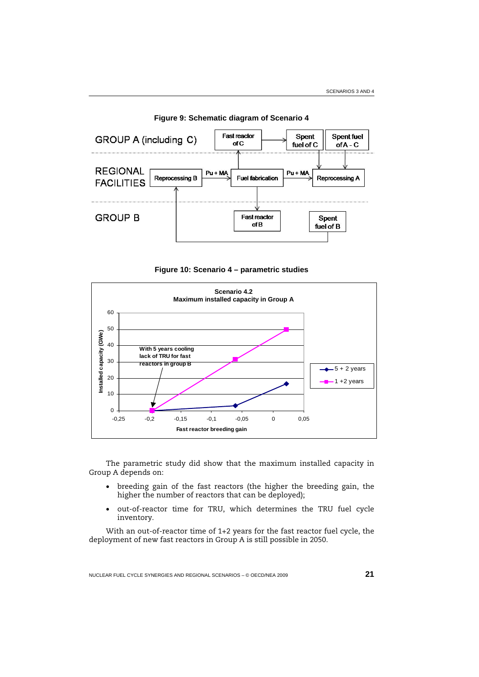![](_page_20_Figure_1.jpeg)

![](_page_20_Figure_2.jpeg)

![](_page_20_Figure_3.jpeg)

The parametric study did show that the maximum installed capacity in Group A depends on:

- breeding gain of the fast reactors (the higher the breeding gain, the higher the number of reactors that can be deployed);
- out-of-reactor time for TRU, which determines the TRU fuel cycle inventory.

With an out-of-reactor time of 1+2 years for the fast reactor fuel cycle, the deployment of new fast reactors in Group A is still possible in 2050.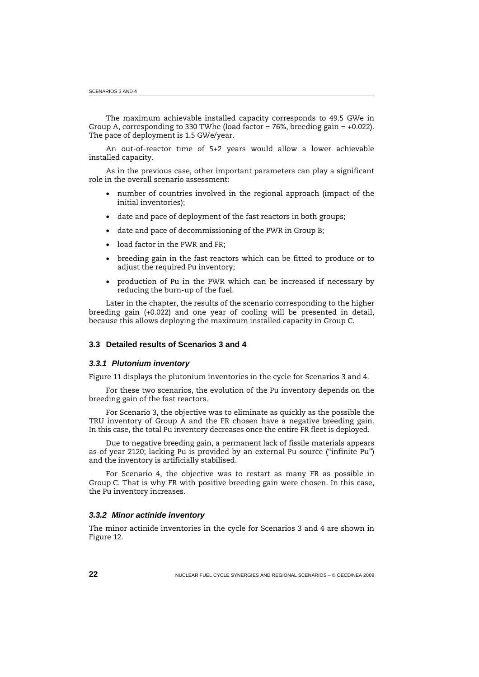The maximum achievable installed capacity corresponds to 49.5 GWe in Group A, corresponding to 330 TWhe (load factor = 76%, breeding gain =  $+0.022$ ). The pace of deployment is 1.5 GWe/year.

An out-of-reactor time of 5+2 years would allow a lower achievable installed capacity.

As in the previous case, other important parameters can play a significant role in the overall scenario assessment:

- number of countries involved in the regional approach (impact of the initial inventories);
- date and pace of deployment of the fast reactors in both groups;
- date and pace of decommissioning of the PWR in Group B;
- load factor in the PWR and FR;
- breeding gain in the fast reactors which can be fitted to produce or to adjust the required Pu inventory;
- production of Pu in the PWR which can be increased if necessary by reducing the burn-up of the fuel.

Later in the chapter, the results of the scenario corresponding to the higher breeding gain (+0.022) and one year of cooling will be presented in detail, because this allows deploying the maximum installed capacity in Group C.

#### **3.3 Detailed results of Scenarios 3 and 4**

#### *3.3.1 Plutonium inventory*

Figure 11 displays the plutonium inventories in the cycle for Scenarios 3 and 4.

For these two scenarios, the evolution of the Pu inventory depends on the breeding gain of the fast reactors.

For Scenario 3, the objective was to eliminate as quickly as the possible the TRU inventory of Group A and the FR chosen have a negative breeding gain. In this case, the total Pu inventory decreases once the entire FR fleet is deployed.

Due to negative breeding gain, a permanent lack of fissile materials appears as of year 2120; lacking Pu is provided by an external Pu source ("infinite Pu") and the inventory is artificially stabilised.

For Scenario 4, the objective was to restart as many FR as possible in Group C. That is why FR with positive breeding gain were chosen. In this case, the Pu inventory increases.

#### *3.3.2 Minor actinide inventory*

The minor actinide inventories in the cycle for Scenarios 3 and 4 are shown in Figure 12.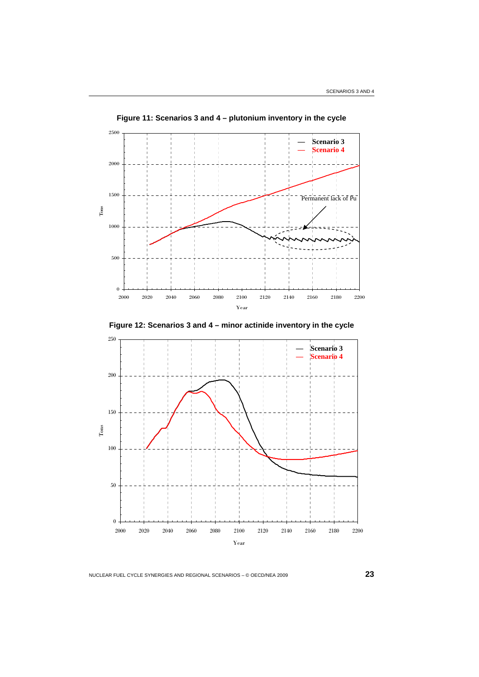![](_page_22_Figure_1.jpeg)

**Figure 11: Scenarios 3 and 4 – plutonium inventory in the cycle** 

![](_page_22_Figure_3.jpeg)

**Figure 12: Scenarios 3 and 4 – minor actinide inventory in the cycle** 

NUCLEAR FUEL CYCLE SYNERGIES AND REGIONAL SCENARIOS – © OECD/NEA 2009 **23**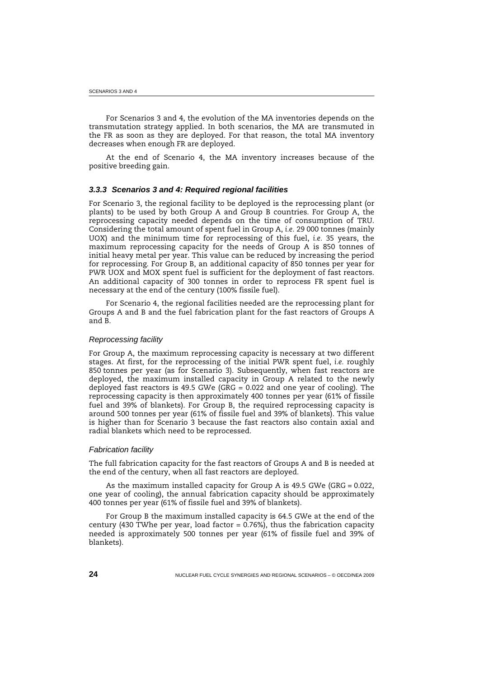For Scenarios 3 and 4, the evolution of the MA inventories depends on the transmutation strategy applied. In both scenarios, the MA are transmuted in the FR as soon as they are deployed. For that reason, the total MA inventory decreases when enough FR are deployed.

At the end of Scenario 4, the MA inventory increases because of the positive breeding gain.

#### *3.3.3 Scenarios 3 and 4: Required regional facilities*

For Scenario 3, the regional facility to be deployed is the reprocessing plant (or plants) to be used by both Group A and Group B countries. For Group A, the reprocessing capacity needed depends on the time of consumption of TRU. Considering the total amount of spent fuel in Group A, *i.e.* 29 000 tonnes (mainly UOX) and the minimum time for reprocessing of this fuel, *i.e.* 35 years, the maximum reprocessing capacity for the needs of Group A is 850 tonnes of initial heavy metal per year. This value can be reduced by increasing the period for reprocessing. For Group B, an additional capacity of 850 tonnes per year for PWR UOX and MOX spent fuel is sufficient for the deployment of fast reactors. An additional capacity of 300 tonnes in order to reprocess FR spent fuel is necessary at the end of the century (100% fissile fuel).

For Scenario 4, the regional facilities needed are the reprocessing plant for Groups A and B and the fuel fabrication plant for the fast reactors of Groups A and B.

### *Reprocessing facility*

For Group A, the maximum reprocessing capacity is necessary at two different stages. At first, for the reprocessing of the initial PWR spent fuel, *i.e.* roughly 850 tonnes per year (as for Scenario 3). Subsequently, when fast reactors are deployed, the maximum installed capacity in Group A related to the newly deployed fast reactors is 49.5 GWe (GRG = 0.022 and one year of cooling). The reprocessing capacity is then approximately 400 tonnes per year (61% of fissile fuel and 39% of blankets). For Group B, the required reprocessing capacity is around 500 tonnes per year (61% of fissile fuel and 39% of blankets). This value is higher than for Scenario 3 because the fast reactors also contain axial and radial blankets which need to be reprocessed.

#### *Fabrication facility*

The full fabrication capacity for the fast reactors of Groups A and B is needed at the end of the century, when all fast reactors are deployed.

As the maximum installed capacity for Group A is 49.5 GWe (GRG = 0.022, one year of cooling), the annual fabrication capacity should be approximately 400 tonnes per year (61% of fissile fuel and 39% of blankets).

For Group B the maximum installed capacity is 64.5 GWe at the end of the century (430 TWhe per year, load factor  $= 0.76\%$ ), thus the fabrication capacity needed is approximately 500 tonnes per year (61% of fissile fuel and 39% of blankets).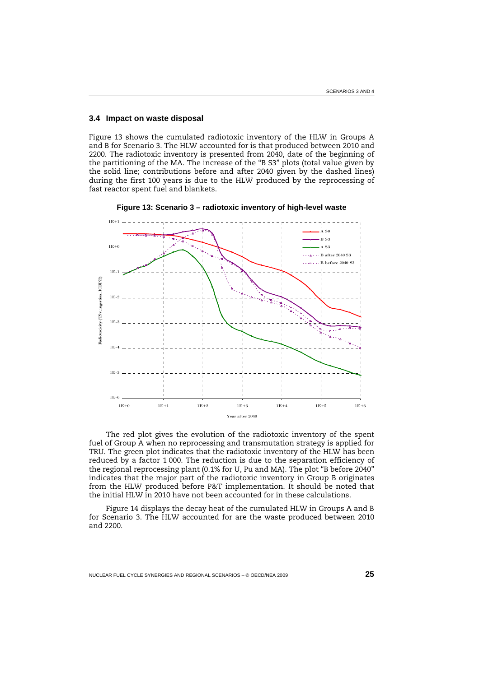# **3.4 Impact on waste disposal**

Figure 13 shows the cumulated radiotoxic inventory of the HLW in Groups A and B for Scenario 3. The HLW accounted for is that produced between 2010 and 2200. The radiotoxic inventory is presented from 2040, date of the beginning of the partitioning of the MA. The increase of the "B S3" plots (total value given by the solid line; contributions before and after 2040 given by the dashed lines) during the first 100 years is due to the HLW produced by the reprocessing of fast reactor spent fuel and blankets.

![](_page_24_Figure_3.jpeg)

**Figure 13: Scenario 3 – radiotoxic inventory of high-level waste** 

The red plot gives the evolution of the radiotoxic inventory of the spent fuel of Group A when no reprocessing and transmutation strategy is applied for TRU. The green plot indicates that the radiotoxic inventory of the HLW has been reduced by a factor 1 000. The reduction is due to the separation efficiency of the regional reprocessing plant (0.1% for U, Pu and MA). The plot "B before 2040" indicates that the major part of the radiotoxic inventory in Group B originates from the HLW produced before P&T implementation. It should be noted that the initial HLW in 2010 have not been accounted for in these calculations.

Figure 14 displays the decay heat of the cumulated HLW in Groups A and B for Scenario 3. The HLW accounted for are the waste produced between 2010 and 2200.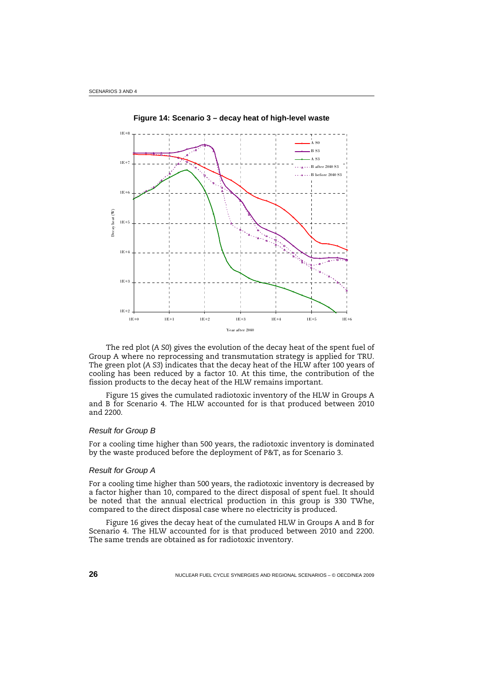![](_page_25_Figure_1.jpeg)

**Figure 14: Scenario 3 – decay heat of high-level waste** 

The red plot (*A S0*) gives the evolution of the decay heat of the spent fuel of Group A where no reprocessing and transmutation strategy is applied for TRU. The green plot (*A S3*) indicates that the decay heat of the HLW after 100 years of cooling has been reduced by a factor 10. At this time, the contribution of the fission products to the decay heat of the HLW remains important.

Figure 15 gives the cumulated radiotoxic inventory of the HLW in Groups A and B for Scenario 4. The HLW accounted for is that produced between 2010 and 2200.

#### *Result for Group B*

For a cooling time higher than 500 years, the radiotoxic inventory is dominated by the waste produced before the deployment of P&T, as for Scenario 3.

#### *Result for Group A*

For a cooling time higher than 500 years, the radiotoxic inventory is decreased by a factor higher than 10, compared to the direct disposal of spent fuel. It should be noted that the annual electrical production in this group is 330 TWhe, compared to the direct disposal case where no electricity is produced.

Figure 16 gives the decay heat of the cumulated HLW in Groups A and B for Scenario 4. The HLW accounted for is that produced between 2010 and 2200. The same trends are obtained as for radiotoxic inventory.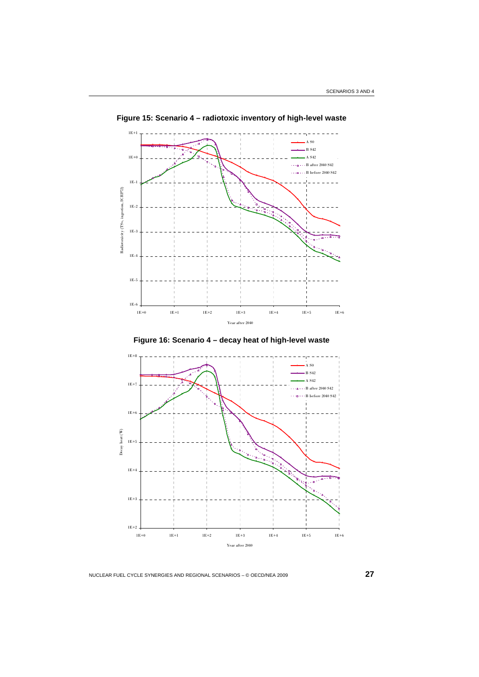![](_page_26_Figure_1.jpeg)

**Figure 15: Scenario 4 – radiotoxic inventory of high-level waste** 

**Figure 16: Scenario 4 – decay heat of high-level waste** 

![](_page_26_Figure_4.jpeg)

NUCLEAR FUEL CYCLE SYNERGIES AND REGIONAL SCENARIOS – © OECD/NEA 2009 **27**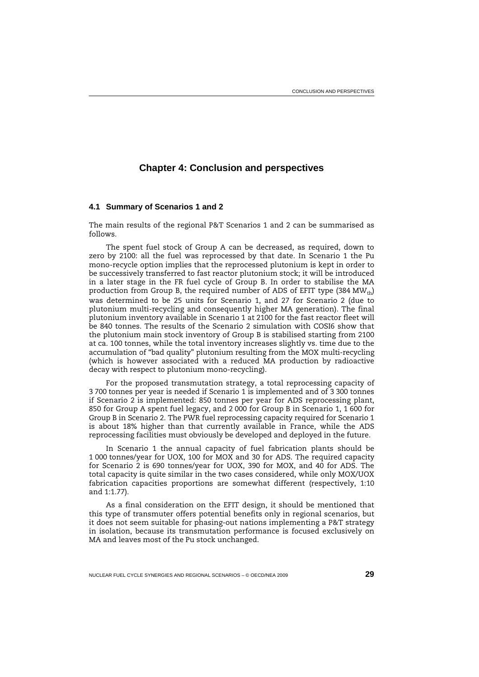# **Chapter 4: Conclusion and perspectives**

### **4.1 Summary of Scenarios 1 and 2**

The main results of the regional P&T Scenarios 1 and 2 can be summarised as follows.

The spent fuel stock of Group A can be decreased, as required, down to zero by 2100: all the fuel was reprocessed by that date. In Scenario 1 the Pu mono-recycle option implies that the reprocessed plutonium is kept in order to be successively transferred to fast reactor plutonium stock; it will be introduced in a later stage in the FR fuel cycle of Group B. In order to stabilise the MA production from Group B, the required number of ADS of EFIT type (384  $MW_{th}$ ) was determined to be 25 units for Scenario 1, and 27 for Scenario 2 (due to plutonium multi-recycling and consequently higher MA generation). The final plutonium inventory available in Scenario 1 at 2100 for the fast reactor fleet will be 840 tonnes. The results of the Scenario 2 simulation with COSI6 show that the plutonium main stock inventory of Group B is stabilised starting from 2100 at ca. 100 tonnes, while the total inventory increases slightly vs. time due to the accumulation of "bad quality" plutonium resulting from the MOX multi-recycling (which is however associated with a reduced MA production by radioactive decay with respect to plutonium mono-recycling).

For the proposed transmutation strategy, a total reprocessing capacity of 3 700 tonnes per year is needed if Scenario 1 is implemented and of 3 300 tonnes if Scenario 2 is implemented: 850 tonnes per year for ADS reprocessing plant, 850 for Group A spent fuel legacy, and 2 000 for Group B in Scenario 1, 1 600 for Group B in Scenario 2. The PWR fuel reprocessing capacity required for Scenario 1 is about 18% higher than that currently available in France, while the ADS reprocessing facilities must obviously be developed and deployed in the future.

In Scenario 1 the annual capacity of fuel fabrication plants should be 1 000 tonnes/year for UOX, 100 for MOX and 30 for ADS. The required capacity for Scenario 2 is 690 tonnes/year for UOX, 390 for MOX, and 40 for ADS. The total capacity is quite similar in the two cases considered, while only MOX/UOX fabrication capacities proportions are somewhat different (respectively, 1:10 and 1:1.77).

As a final consideration on the EFIT design, it should be mentioned that this type of transmuter offers potential benefits only in regional scenarios, but it does not seem suitable for phasing-out nations implementing a P&T strategy in isolation, because its transmutation performance is focused exclusively on MA and leaves most of the Pu stock unchanged.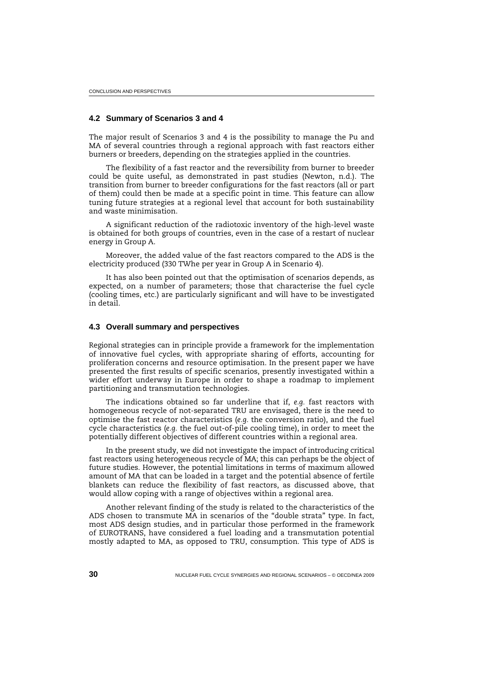#### **4.2 Summary of Scenarios 3 and 4**

The major result of Scenarios 3 and 4 is the possibility to manage the Pu and MA of several countries through a regional approach with fast reactors either burners or breeders, depending on the strategies applied in the countries.

The flexibility of a fast reactor and the reversibility from burner to breeder could be quite useful, as demonstrated in past studies (Newton, n.d.). The transition from burner to breeder configurations for the fast reactors (all or part of them) could then be made at a specific point in time. This feature can allow tuning future strategies at a regional level that account for both sustainability and waste minimisation.

A significant reduction of the radiotoxic inventory of the high-level waste is obtained for both groups of countries, even in the case of a restart of nuclear energy in Group A.

Moreover, the added value of the fast reactors compared to the ADS is the electricity produced (330 TWhe per year in Group A in Scenario 4).

It has also been pointed out that the optimisation of scenarios depends, as expected, on a number of parameters; those that characterise the fuel cycle (cooling times, etc.) are particularly significant and will have to be investigated in detail.

#### **4.3 Overall summary and perspectives**

Regional strategies can in principle provide a framework for the implementation of innovative fuel cycles, with appropriate sharing of efforts, accounting for proliferation concerns and resource optimisation. In the present paper we have presented the first results of specific scenarios, presently investigated within a wider effort underway in Europe in order to shape a roadmap to implement partitioning and transmutation technologies.

The indications obtained so far underline that if, *e.g.* fast reactors with homogeneous recycle of not-separated TRU are envisaged, there is the need to optimise the fast reactor characteristics (*e.g.* the conversion ratio), and the fuel cycle characteristics (*e.g.* the fuel out-of-pile cooling time), in order to meet the potentially different objectives of different countries within a regional area.

In the present study, we did not investigate the impact of introducing critical fast reactors using heterogeneous recycle of MA; this can perhaps be the object of future studies. However, the potential limitations in terms of maximum allowed amount of MA that can be loaded in a target and the potential absence of fertile blankets can reduce the flexibility of fast reactors, as discussed above, that would allow coping with a range of objectives within a regional area.

Another relevant finding of the study is related to the characteristics of the ADS chosen to transmute MA in scenarios of the "double strata" type. In fact, most ADS design studies, and in particular those performed in the framework of EUROTRANS, have considered a fuel loading and a transmutation potential mostly adapted to MA, as opposed to TRU, consumption. This type of ADS is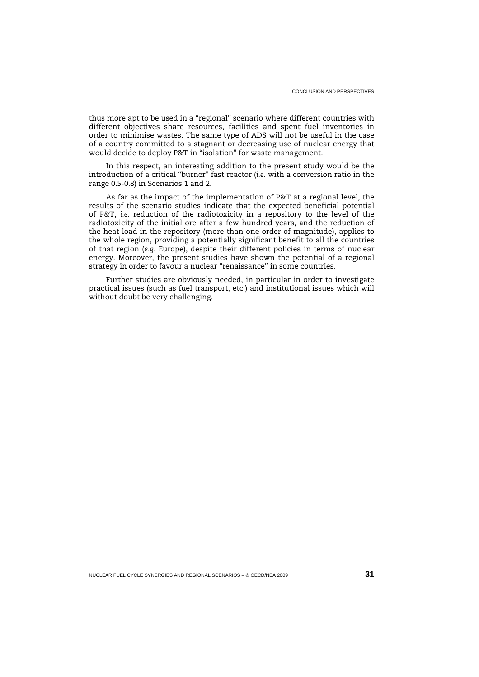thus more apt to be used in a "regional" scenario where different countries with different objectives share resources, facilities and spent fuel inventories in order to minimise wastes. The same type of ADS will not be useful in the case of a country committed to a stagnant or decreasing use of nuclear energy that would decide to deploy P&T in "isolation" for waste management.

In this respect, an interesting addition to the present study would be the introduction of a critical "burner" fast reactor (*i.e.* with a conversion ratio in the range 0.5-0.8) in Scenarios 1 and 2.

As far as the impact of the implementation of P&T at a regional level, the results of the scenario studies indicate that the expected beneficial potential of P&T, *i.e.* reduction of the radiotoxicity in a repository to the level of the radiotoxicity of the initial ore after a few hundred years, and the reduction of the heat load in the repository (more than one order of magnitude), applies to the whole region, providing a potentially significant benefit to all the countries of that region (*e.g.* Europe), despite their different policies in terms of nuclear energy. Moreover, the present studies have shown the potential of a regional strategy in order to favour a nuclear "renaissance" in some countries.

Further studies are obviously needed, in particular in order to investigate practical issues (such as fuel transport, etc.) and institutional issues which will without doubt be very challenging.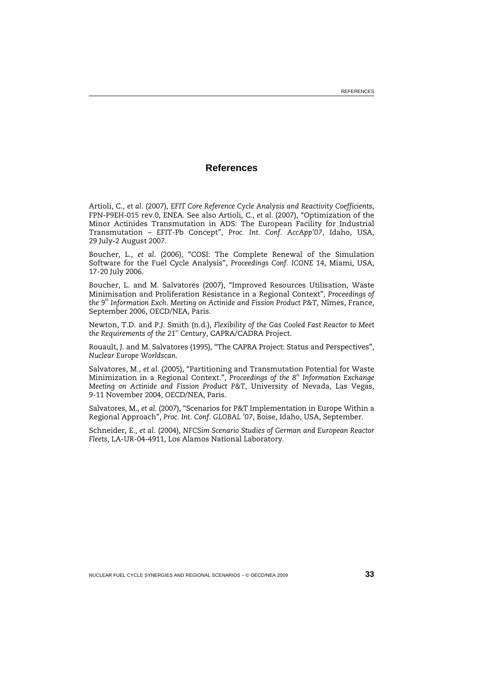# **References**

Artioli, C., *et al*. (2007), *EFIT Core Reference Cycle Analysis and Reactivity Coefficients*, FPN-P9EH-015 rev.0, ENEA. See also Artioli, C., *et al*. (2007), "Optimization of the Minor Actinides Transmutation in ADS: The European Facility for Industrial Transmutation – EFIT-Pb Concept", *Proc. Int. Conf. AccApp'07*, Idaho, USA, 29 July-2 August 2007.

Boucher, L., *et al*. (2006), "COSI: The Complete Renewal of the Simulation Software for the Fuel Cycle Analysis", *Proceedings Conf. ICONE 14*, Miami, USA, 17-20 July 2006.

Boucher, L. and M. Salvatores (2007), "Improved Resources Utilisation, Waste Minimisation and Proliferation Resistance in a Regional Context", *Proceedings of the 9th Information Exch. Meeting on Actinide and Fission Product P&T*, Nîmes, France, September 2006, OECD/NEA, Paris.

Newton, T.D. and P.J. Smith (n.d.), *Flexibility of the Gas Cooled Fast Reactor to Meet the Requirements of the 21st Century*, CAPRA/CADRA Project.

Rouault, J. and M. Salvatores (1995), "The CAPRA Project: Status and Perspectives", *Nuclear Europe Worldscan*.

Salvatores, M., *et al*. (2005), "Partitioning and Transmutation Potential for Waste Minimization in a Regional Context.", *Proceedings of the 8th Information Exchange Meeting on Actinide and Fission Product P&T*, University of Nevada, Las Vegas, 9-11 November 2004, OECD/NEA, Paris.

Salvatores, M., *et al*. (2007), "Scenarios for P&T Implementation in Europe Within a Regional Approach", *Proc. Int. Conf. GLOBAL '07*, Boise, Idaho, USA, September.

Schneider, E., *et al*. (2004), *NFCSim Scenario Studies of German and European Reactor Fleets*, LA-UR-04-4911, Los Alamos National Laboratory.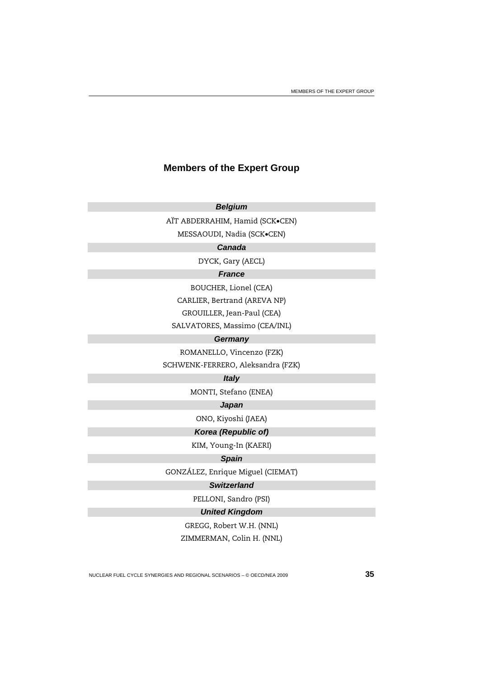# **Members of the Expert Group**

*Belgium* 

AÏT ABDERRAHIM, Hamid (SCK•CEN)

MESSAOUDI, Nadia (SCK•CEN)

### *Canada*

DYCK, Gary (AECL)

# *France*

BOUCHER, Lionel (CEA)

CARLIER, Bertrand (AREVA NP)

GROUILLER, Jean-Paul (CEA)

SALVATORES, Massimo (CEA/INL)

# *Germany*

ROMANELLO, Vincenzo (FZK) SCHWENK-FERRERO, Aleksandra (FZK)

# *Italy*

MONTI, Stefano (ENEA)

### *Japan*

ONO, Kiyoshi (JAEA)

# *Korea (Republic of)*

KIM, Young-In (KAERI)

## *Spain*

GONZÁLEZ, Enrique Miguel (CIEMAT)

# *Switzerland*

PELLONI, Sandro (PSI)

# *United Kingdom*

GREGG, Robert W.H. (NNL) ZIMMERMAN, Colin H. (NNL)